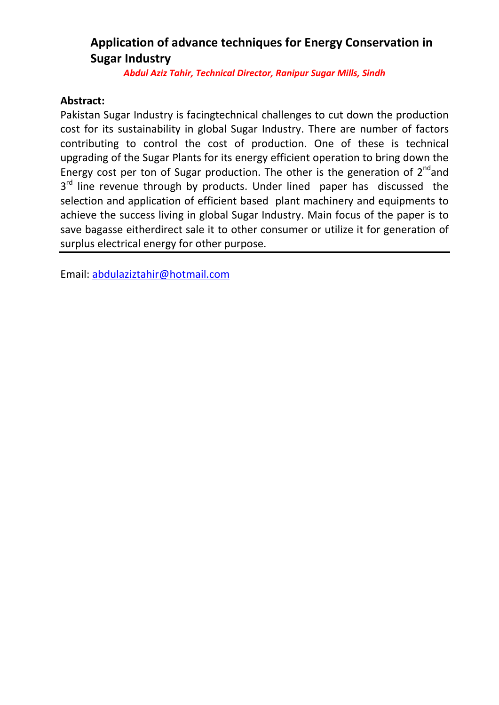## **Application of advance techniques for Energy Conservation in Sugar Industry**

*Abdul Aziz Tahir, Technical Director, Ranipur Sugar Mills, Sindh*

#### **Abstract:**

Pakistan Sugar Industry is facingtechnical challenges to cut down the production cost for its sustainability in global Sugar Industry. There are number of factors contributing to control the cost of production. One of these is technical upgrading of the Sugar Plants for its energy efficient operation to bring down the Energy cost per ton of Sugar production. The other is the generation of  $2^{nd}$  and 3<sup>rd</sup> line revenue through by products. Under lined paper has discussed the selection and application of efficient based plant machinery and equipments to achieve the success living in global Sugar Industry. Main focus of the paper is to save bagasse eitherdirect sale it to other consumer or utilize it for generation of surplus electrical energy for other purpose.

Email: [abdulaziztahir@hotmail.com](mailto:abdulaziztahir@hotmail.com)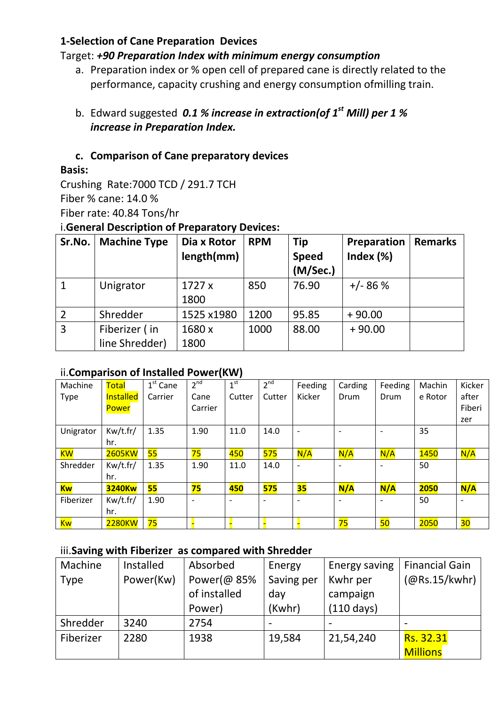#### **1-Selection of Cane Preparation Devices**

## Target: *+90 Preparation Index with minimum energy consumption*

- a. Preparation index or % open cell of prepared cane is directly related to the performance, capacity crushing and energy consumption ofmilling train.
- b. Edward suggested *0.1 % increase in extraction(of 1st Mill) per 1 % increase in Preparation Index.*

#### **c. Comparison of Cane preparatory devices**

#### **Basis:**

Crushing Rate:7000 TCD / 291.7 TCH Fiber % cane: 14.0 % Fiber rate: 40.84 Tons/hr

#### i.**General Description of Preparatory Devices:**

| Sr.No.         | <b>Machine Type</b>             | Dia x Rotor<br>length(mm) | <b>RPM</b> | <b>Tip</b><br><b>Speed</b><br>(M/Sec.) | Preparation<br>Index $(\%)$ | <b>Remarks</b> |
|----------------|---------------------------------|---------------------------|------------|----------------------------------------|-----------------------------|----------------|
|                | Unigrator                       | 1727x<br>1800             | 850        | 76.90                                  | $+/- 86 %$                  |                |
| $\overline{2}$ | Shredder                        | 1525 x1980                | 1200       | 95.85                                  | $+90.00$                    |                |
| $\overline{3}$ | Fiberizer (in<br>line Shredder) | 1680 x<br>1800            | 1000       | 88.00                                  | $+90.00$                    |                |

#### ii.**Comparison of Installed Power(KW)**

| Machine     | <b>Total</b>  | $1st$ Cane | 2 <sup>nd</sup>          | 1 <sup>st</sup>          | 2 <sup>nd</sup>          | Feeding                  | Carding | Feeding                  | Machin  | Kicker                   |
|-------------|---------------|------------|--------------------------|--------------------------|--------------------------|--------------------------|---------|--------------------------|---------|--------------------------|
| <b>Type</b> | Installed     | Carrier    | Cane                     | Cutter                   | Cutter                   | Kicker                   | Drum    | Drum                     | e Rotor | after                    |
|             | Power         |            | Carrier                  |                          |                          |                          |         |                          |         | Fiberi                   |
|             |               |            |                          |                          |                          |                          |         |                          |         | zer                      |
| Unigrator   | Kw/t.fr/      | 1.35       | 1.90                     | 11.0                     | 14.0                     | $\overline{\phantom{a}}$ |         | $\overline{a}$           | 35      |                          |
|             | hr.           |            |                          |                          |                          |                          |         |                          |         |                          |
| <b>KW</b>   | <b>2605KW</b> | 55         | 75                       | 450                      | 575                      | N/A                      | N/A     | N/A                      | 1450    | N/A                      |
| Shredder    | Kw/t.fr/      | 1.35       | 1.90                     | 11.0                     | 14.0                     | $\overline{\phantom{a}}$ |         | $\overline{\phantom{a}}$ | 50      |                          |
|             | hr.           |            |                          |                          |                          |                          |         |                          |         |                          |
| <b>Kw</b>   | <b>3240Kw</b> | 55         | 75                       | 450                      | 575                      | 35                       | N/A     | N/A                      | 2050    | N/A                      |
| Fiberizer   | Kw/t.fr/      | 1.90       | $\overline{\phantom{0}}$ | $\overline{\phantom{a}}$ | $\overline{\phantom{0}}$ | $\overline{\phantom{0}}$ |         | $\overline{\phantom{a}}$ | 50      | $\overline{\phantom{a}}$ |
|             | hr.           |            |                          |                          |                          |                          |         |                          |         |                          |
| <b>Kw</b>   | 2280KW        | 75         |                          |                          |                          |                          | 75      | 50                       | 2050    | 30 <sub>o</sub>          |

#### iii.**Saving with Fiberizer as compared with Shredder**

| Machine     | Installed | Absorbed     | Energy     | Energy saving        | <b>Financial Gain</b> |
|-------------|-----------|--------------|------------|----------------------|-----------------------|
| <b>Type</b> | Power(Kw) | Power(@85%   | Saving per | Kwhr per             | (QRS.15/kwhr)         |
|             |           | of installed | day        | campaign             |                       |
|             |           | Power)       | (Kwhr)     | $(110 \text{ days})$ |                       |
| Shredder    | 3240      | 2754         |            |                      |                       |
| Fiberizer   | 2280      | 1938         | 19,584     | 21,54,240            | Rs. 32.31             |
|             |           |              |            |                      | <b>Millions</b>       |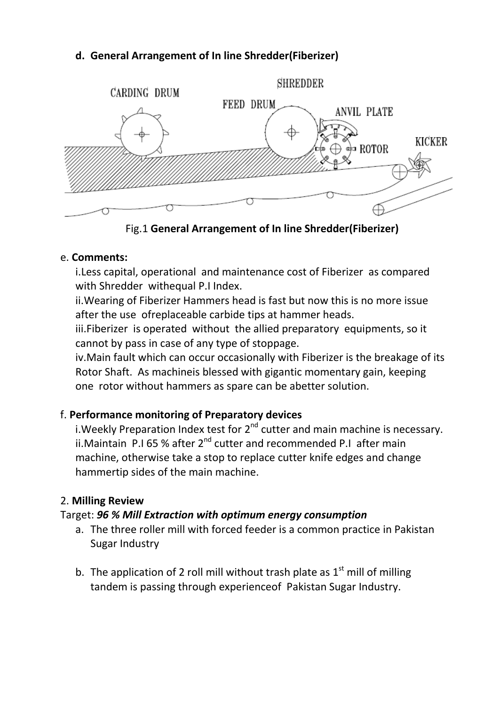## **d. General Arrangement of In line Shredder(Fiberizer)**



Fig.1 **General Arrangement of In line Shredder(Fiberizer)**

#### e. **Comments:**

i.Less capital, operational and maintenance cost of Fiberizer as compared with Shredder withequal P.I Index.

ii.Wearing of Fiberizer Hammers head is fast but now this is no more issue after the use ofreplaceable carbide tips at hammer heads.

iii.Fiberizer is operated without the allied preparatory equipments, so it cannot by pass in case of any type of stoppage.

iv.Main fault which can occur occasionally with Fiberizer is the breakage of its Rotor Shaft. As machineis blessed with gigantic momentary gain, keeping one rotor without hammers as spare can be abetter solution.

## f. **Performance monitoring of Preparatory devices**

i. Weekly Preparation Index test for  $2^{nd}$  cutter and main machine is necessary. ii.Maintain P.I 65 % after 2<sup>nd</sup> cutter and recommended P.I after main machine, otherwise take a stop to replace cutter knife edges and change hammertip sides of the main machine.

#### 2. **Milling Review**

#### Target: *96 % Mill Extraction with optimum energy consumption*

- a. The three roller mill with forced feeder is a common practice in Pakistan Sugar Industry
- b. The application of 2 roll mill without trash plate as  $1<sup>st</sup>$  mill of milling tandem is passing through experienceof Pakistan Sugar Industry.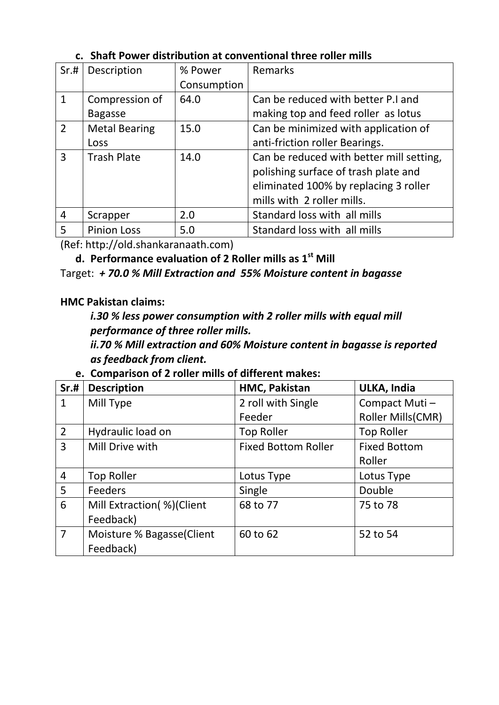| Sr.#           | Description          | % Power     | Remarks                                                                          |
|----------------|----------------------|-------------|----------------------------------------------------------------------------------|
|                |                      | Consumption |                                                                                  |
| $\mathbf{1}$   | Compression of       | 64.0        | Can be reduced with better P.I and                                               |
|                | <b>Bagasse</b>       |             | making top and feed roller as lotus                                              |
| $\overline{2}$ | <b>Metal Bearing</b> | 15.0        | Can be minimized with application of                                             |
|                | Loss                 |             | anti-friction roller Bearings.                                                   |
| 3              | <b>Trash Plate</b>   | 14.0        | Can be reduced with better mill setting,<br>polishing surface of trash plate and |
|                |                      |             | eliminated 100% by replacing 3 roller                                            |
|                |                      |             | mills with 2 roller mills.                                                       |
| $\overline{4}$ | Scrapper             | 2.0         | Standard loss with all mills                                                     |
| 5              | <b>Pinion Loss</b>   | 5.0         | Standard loss with all mills                                                     |

#### **c. Shaft Power distribution at conventional three roller mills**

(Ref: http://old.shankaranaath.com)

**d. Performance evaluation of 2 Roller mills as 1st Mill**

Target: *+ 70.0 % Mill Extraction and 55% Moisture content in bagasse*

#### **HMC Pakistan claims:**

*i.30 % less power consumption with 2 roller mills with equal mill performance of three roller mills.*

*ii.70 % Mill extraction and 60% Moisture content in bagasse is reported as feedback from client.*

|  |  |  |  |  |  | e. Comparison of 2 roller mills of different makes: |
|--|--|--|--|--|--|-----------------------------------------------------|
|--|--|--|--|--|--|-----------------------------------------------------|

| Sr.H           | <b>Description</b>         | HMC, Pakistan              | ULKA, India         |
|----------------|----------------------------|----------------------------|---------------------|
| $\mathbf{1}$   | Mill Type                  | 2 roll with Single         | Compact Muti-       |
|                |                            | Feeder                     | Roller Mills(CMR)   |
| $\overline{2}$ | Hydraulic load on          | <b>Top Roller</b>          | <b>Top Roller</b>   |
| $\overline{3}$ | Mill Drive with            | <b>Fixed Bottom Roller</b> | <b>Fixed Bottom</b> |
|                |                            |                            | Roller              |
| $\overline{4}$ | <b>Top Roller</b>          | Lotus Type                 | Lotus Type          |
| 5              | <b>Feeders</b>             | Single                     | Double              |
| 6              | Mill Extraction(%)(Client  | 68 to 77                   | 75 to 78            |
|                | Feedback)                  |                            |                     |
| $\overline{7}$ | Moisture % Bagasse (Client | 60 to 62                   | 52 to 54            |
|                | Feedback)                  |                            |                     |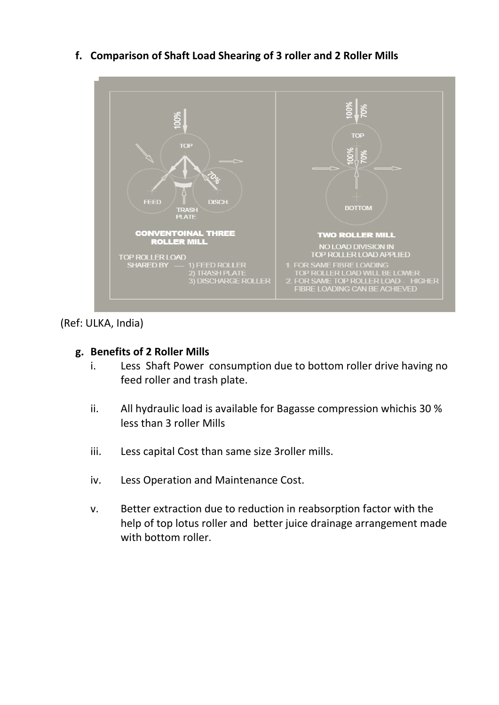

**f. Comparison of Shaft Load Shearing of 3 roller and 2 Roller Mills**

(Ref: ULKA, India)

#### **g. Benefits of 2 Roller Mills**

- i. Less Shaft Power consumption due to bottom roller drive having no feed roller and trash plate.
- ii. All hydraulic load is available for Bagasse compression whichis 30 % less than 3 roller Mills
- iii. Less capital Cost than same size 3roller mills.
- iv. Less Operation and Maintenance Cost.
- v. Better extraction due to reduction in reabsorption factor with the help of top lotus roller and better juice drainage arrangement made with bottom roller.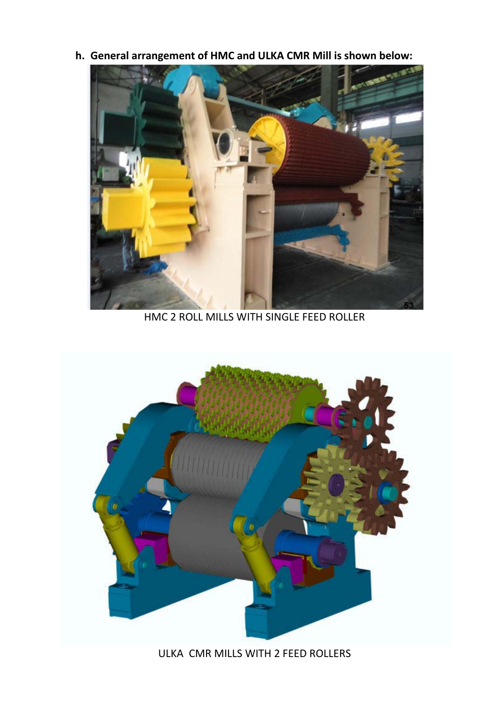**h. General arrangement of HMC and ULKA CMR Mill is shown below:**



HMC 2 ROLL MILLS WITH SINGLE FEED ROLLER



ULKA CMR MILLS WITH 2 FEED ROLLERS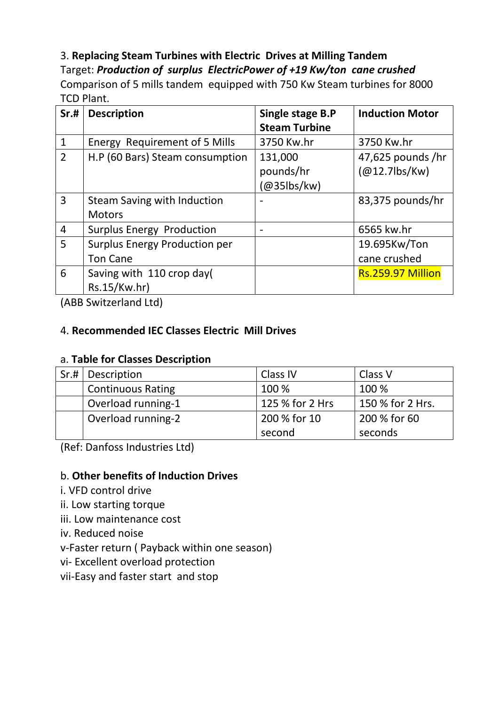## 3. **Replacing Steam Turbines with Electric Drives at Milling Tandem**

Target: *Production of surplus ElectricPower of +19 Kw/ton cane crushed* Comparison of 5 mills tandem equipped with 750 Kw Steam turbines for 8000 TCD Plant.

| Sr.#           | <b>Description</b>                   | Single stage B.P     | <b>Induction Motor</b> |
|----------------|--------------------------------------|----------------------|------------------------|
|                |                                      | <b>Steam Turbine</b> |                        |
| $\mathbf{1}$   | Energy Requirement of 5 Mills        | 3750 Kw.hr           | 3750 Kw.hr             |
| $\overline{2}$ | H.P (60 Bars) Steam consumption      | 131,000              | $47,625$ pounds /hr    |
|                |                                      | pounds/hr            | $(Q012.7$ lbs/Kw)      |
|                |                                      | @35lbs/kw)           |                        |
| 3              | Steam Saving with Induction          |                      | 83,375 pounds/hr       |
|                | <b>Motors</b>                        |                      |                        |
| $\overline{4}$ | <b>Surplus Energy Production</b>     |                      | 6565 kw.hr             |
| 5              | <b>Surplus Energy Production per</b> |                      | 19.695Kw/Ton           |
|                | <b>Ton Cane</b>                      |                      | cane crushed           |
| 6              | Saving with 110 crop day(            |                      | Rs.259.97 Million      |
|                | Rs.15/Kw.hr)                         |                      |                        |

(ABB Switzerland Ltd)

## 4. **Recommended IEC Classes Electric Mill Drives**

## a. **Table for Classes Description**

| Sr.# | Description              | Class IV        | Class V          |
|------|--------------------------|-----------------|------------------|
|      | <b>Continuous Rating</b> | 100 %           | 100 %            |
|      | Overload running-1       | 125 % for 2 Hrs | 150 % for 2 Hrs. |
|      | Overload running-2       | 200 % for 10    | 200 % for 60     |
|      |                          | second          | seconds          |

(Ref: Danfoss Industries Ltd)

## b. **Other benefits of Induction Drives**

- i. VFD control drive
- ii. Low starting torque
- iii. Low maintenance cost
- iv. Reduced noise

v-Faster return ( Payback within one season)

- vi- Excellent overload protection
- vii-Easy and faster start and stop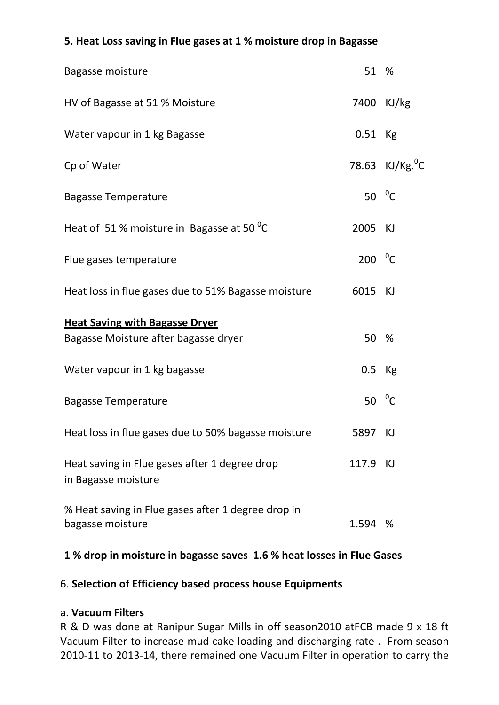# Bagasse moisture 61 % and 51 % Santa Section 1 % States 1 % States 1 % States 1 % States 1 % States 1 % States 1 % States 1 % States 1 % States 1 % States 1 % States 1 % States 1 % States 1 % States 1 % States 1 % States 1 HV of Bagasse at 51 % Moisture 7400 KJ/kg Water vapour in 1 kg Bagasse 6 and 1 cm and 1 kg bagasse 6.51 Kg Cp of Water  $\sim$  78.63 KJ/Kg.<sup>0</sup>C Bagasse Temperature 50  $\mathrm{^{0}C}$ Heat of 51 % moisture in Bagasse at 50 $\mathrm{^{0}C}$ 2005 KJ Flue gases temperature 200  $\mathrm{^{0}C}$ Heat loss in flue gases due to 51% Bagasse moisture 6015 KJ **Heat Saving with Bagasse Dryer** Bagasse Moisture after bagasse dryer 1988 1991 1992 50 % Water vapour in 1 kg bagasse 6 and 1 million of the U.S. Kg Bagasse Temperature 50  $\mathrm{^{0}C}$ Heat loss in flue gases due to 50% bagasse moisture 5897 KJ Heat saving in Flue gases after 1 degree drop 117.9 KJ in Bagasse moisture % Heat saving in Flue gases after 1 degree drop in bagasse moisture 1.594 %

#### **5. Heat Loss saving in Flue gases at 1 % moisture drop in Bagasse**

## **1 % drop in moisture in bagasse saves 1.6 % heat losses in Flue Gases**

#### 6. **Selection of Efficiency based process house Equipments**

#### a. **Vacuum Filters**

R & D was done at Ranipur Sugar Mills in off season2010 atFCB made 9 x 18 ft Vacuum Filter to increase mud cake loading and discharging rate . From season 2010-11 to 2013-14, there remained one Vacuum Filter in operation to carry the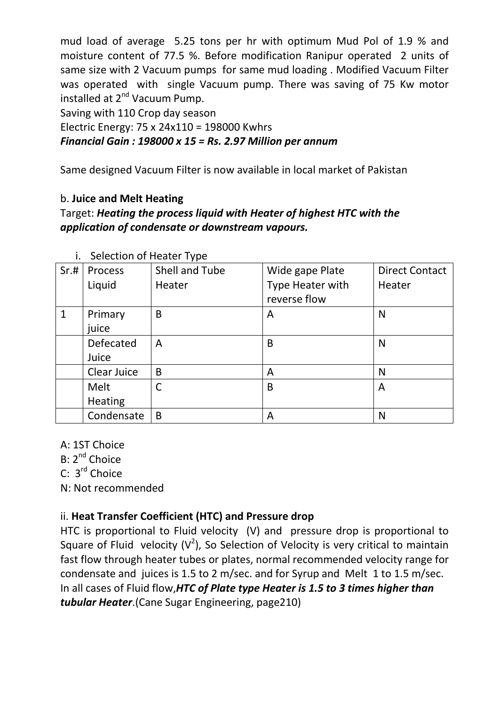mud load of average 5.25 tons per hr with optimum Mud Pol of 1.9 % and moisture content of 77.5 %. Before modification Ranipur operated 2 units of same size with 2 Vacuum pumps for same mud loading . Modified Vacuum Filter was operated with single Vacuum pump. There was saving of 75 Kw motor installed at 2<sup>nd</sup> Vacuum Pump.

Saving with 110 Crop day season

Electric Energy: 75 x 24x110 = 198000 Kwhrs *Financial Gain : 198000 x 15 = Rs. 2.97 Million per annum*

Same designed Vacuum Filter is now available in local market of Pakistan

#### b. **Juice and Melt Heating**

Target: *Heating the process liquid with Heater of highest HTC with the application of condensate or downstream vapours.*

| Sr.# | Process        | Shell and Tube | Wide gape Plate  | <b>Direct Contact</b> |
|------|----------------|----------------|------------------|-----------------------|
|      | Liquid         | Heater         | Type Heater with | Heater                |
|      |                |                | reverse flow     |                       |
| 1    | Primary        | B              | A                | N                     |
|      | juice          |                |                  |                       |
|      | Defecated      | A              | B                | N                     |
|      | Juice          |                |                  |                       |
|      | Clear Juice    | B              | A                | N                     |
|      | Melt           | C              | B                | A                     |
|      | <b>Heating</b> |                |                  |                       |
|      | Condensate     | B              | A                | N                     |

i. Selection of Heater Type

A: 1ST Choice

B: 2<sup>nd</sup> Choice

C: 3<sup>rd</sup> Choice

N: Not recommended

## ii. **Heat Transfer Coefficient (HTC) and Pressure drop**

HTC is proportional to Fluid velocity (V) and pressure drop is proportional to Square of Fluid velocity  $(V^2)$ , So Selection of Velocity is very critical to maintain In all cases of Fluid flow,*HTC of Plate type Heater is 1.5 to 3 times higher than tubular Heater*.(Cane Sugar Engineering, page210) fast flow through heater tubes or plates, normal recommended velocity range for condensate and juices is 1.5 to 2 m/sec. and for Syrup and Melt 1 to 1.5 m/sec.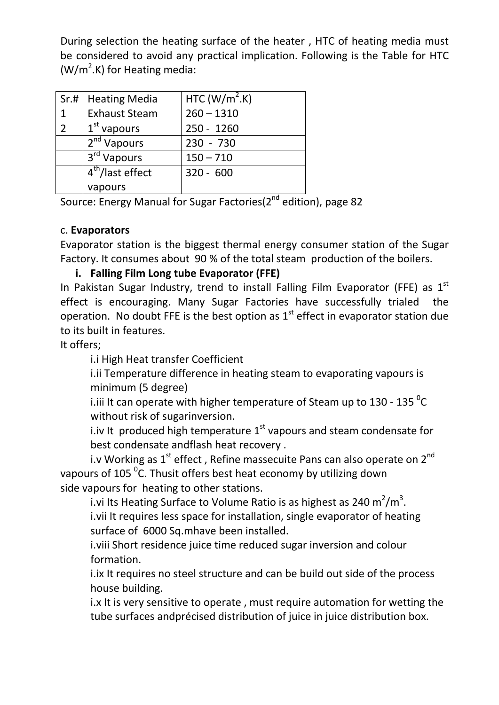During selection the heating surface of the heater , HTC of heating media must be considered to avoid any practical implication. Following is the Table for HTC  $(W/m<sup>2</sup>$ .K) for Heating media:

| Sr.#           | <b>Heating Media</b>    | HTC (W/ $m^2$ .K) |
|----------------|-------------------------|-------------------|
| 1              | <b>Exhaust Steam</b>    | $260 - 1310$      |
| $\overline{2}$ | $1st$ vapours           | 250 - 1260        |
|                | $2nd$ Vapours           | $230 - 730$       |
|                | 3 <sup>rd</sup> Vapours | $150 - 710$       |
|                | $4th/$ last effect      | $320 - 600$       |
|                | vapours                 |                   |

Source: Energy Manual for Sugar Factories(2<sup>nd</sup> edition), page 82

#### c. **Evaporators**

Evaporator station is the biggest thermal energy consumer station of the Sugar Factory. It consumes about 90 % of the total steam production of the boilers.

## **i. Falling Film Long tube Evaporator (FFE)**

In Pakistan Sugar Industry, trend to install Falling Film Evaporator (FFE) as  $1<sup>st</sup>$ effect is encouraging. Many Sugar Factories have successfully trialed the operation. No doubt FFE is the best option as  $1<sup>st</sup>$  effect in evaporator station due to its built in features.

It offers;

i.i High Heat transfer Coefficient

i.ii Temperature difference in heating steam to evaporating vapours is minimum (5 degree)

i.iii It can operate with higher temperature of Steam up to 130 - 135  $^{\circ}$ C without risk of sugarinversion.

i.iv It produced high temperature  $1^{st}$  vapours and steam condensate for best condensate andflash heat recovery .

i.v Working as  $1^{\text{st}}$  effect, Refine massecuite Pans can also operate on  $2^{\text{nd}}$ vapours of 105  $\mathrm{^0C}$ . Thusit offers best heat economy by utilizing down side vapours for heating to other stations.

i.vi Its Heating Surface to Volume Ratio is as highest as 240 m<sup>2</sup>/m<sup>3</sup>. i.vii It requires less space for installation, single evaporator of heating surface of 6000 Sq.mhave been installed.

i.viii Short residence juice time reduced sugar inversion and colour formation.

i.ix It requires no steel structure and can be build out side of the process house building.

i.x It is very sensitive to operate , must require automation for wetting the tube surfaces andprécised distribution of juice in juice distribution box.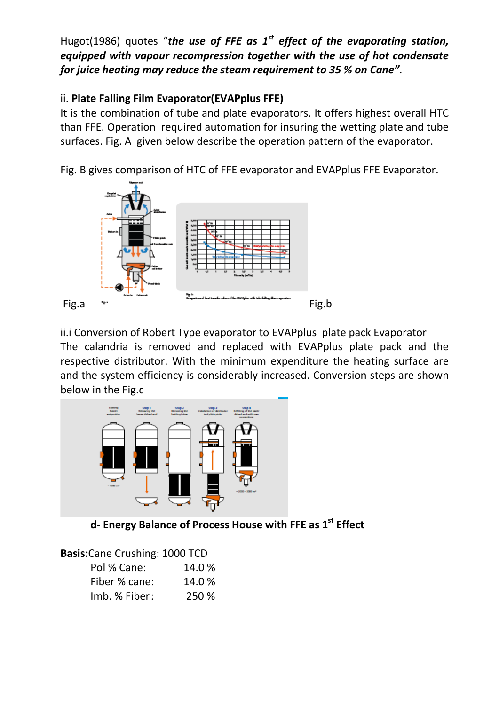Hugot(1986) quotes "*the use of FFE as 1st effect of the evaporating station, equipped with vapour recompression together with the use of hot condensate for juice heating may reduce the steam requirement to 35 % on Cane"*.

## ii. **Plate Falling Film Evaporator(EVAPplus FFE)**

It is the combination of tube and plate evaporators. It offers highest overall HTC than FFE. Operation required automation for insuring the wetting plate and tube surfaces. Fig. A given below describe the operation pattern of the evaporator.

Fig. B gives comparison of HTC of FFE evaporator and EVAPplus FFE Evaporator.



ii.i Conversion of Robert Type evaporator to EVAPplus plate pack Evaporator The calandria is removed and replaced with EVAPplus plate pack and the respective distributor. With the minimum expenditure the heating surface are and the system efficiency is considerably increased. Conversion steps are shown below in the Fig.c



**d- Energy Balance of Process House with FFE as 1st Effect**

| <b>Basis:</b> Cane Crushing: 1000 TCD |        |
|---------------------------------------|--------|
| Pol % Cane:                           | 14.0 % |
| Fiber % cane:                         | 14.0 % |
| Imb. % Fiber:                         | 250 %  |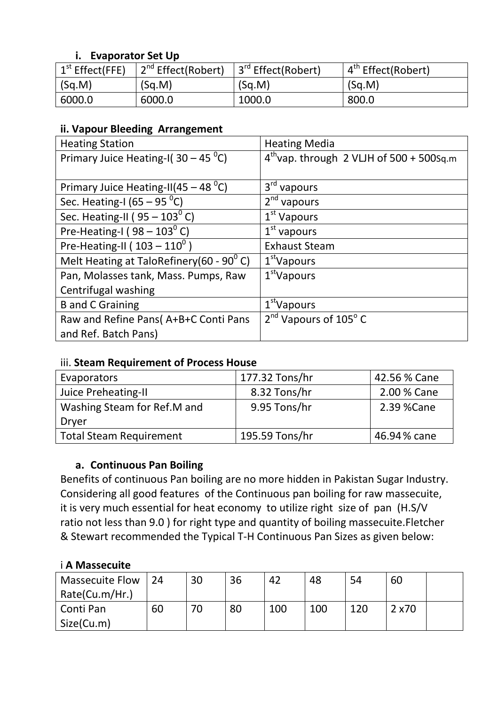#### **i. Evaporator Set Up**

| $\vert$ 1 <sup>st</sup> Effect(FFE) | 2 <sup>nd</sup> Effect(Robert) | 3 <sup>rd</sup> Effect(Robert) | 4 <sup>th</sup> Effect(Robert) |
|-------------------------------------|--------------------------------|--------------------------------|--------------------------------|
| $ $ (Sq.M)                          | (Sq.M)                         | (Sq.M)                         | (Sq.M)                         |
| 6000.0                              | 6000.0                         | 1000.0                         | 800.0                          |

## **ii. Vapour Bleeding Arrangement**

| <b>Heating Station</b>                             | <b>Heating Media</b>                          |
|----------------------------------------------------|-----------------------------------------------|
| Primary Juice Heating-I( $30 - 45$ <sup>o</sup> C) | $4^{th}$ vap. through 2 VLJH of 500 + 500Sq.m |
|                                                    |                                               |
| Primary Juice Heating-II(45 – 48 $^0$ C)           | $3rd$ vapours                                 |
| Sec. Heating-I (65 $-95\,^0C$ )                    | $2nd$ vapours                                 |
| Sec. Heating-II ( $95-103^{\circ}$ C)              | $1st$ Vapours                                 |
| Pre-Heating-I ( $98 - 103^{\circ}$ C)              | $1st$ vapours                                 |
| Pre-Heating-II ( $103 - 110^0$ )                   | <b>Exhaust Steam</b>                          |
| Melt Heating at TaloRefinery(60 - $90^{\circ}$ C)  | 1 <sup>st</sup> Vapours                       |
| Pan, Molasses tank, Mass. Pumps, Raw               | $1st$ Vapours                                 |
| Centrifugal washing                                |                                               |
| <b>B</b> and C Graining                            | 1 <sup>st</sup> Vapours                       |
| Raw and Refine Pans(A+B+C Conti Pans               | $2nd$ Vapours of 105 $^{\circ}$ C             |
| and Ref. Batch Pans)                               |                                               |

#### iii. **Steam Requirement of Process House**

| Evaporators                    | 177.32 Tons/hr | 42.56 % Cane |
|--------------------------------|----------------|--------------|
| Juice Preheating-II            | 8.32 Tons/hr   | 2.00 % Cane  |
| Washing Steam for Ref.M and    | 9.95 Tons/hr   | 2.39 % Cane  |
| Dryer                          |                |              |
| <b>Total Steam Requirement</b> | 195.59 Tons/hr | 46.94% cane  |

## **a. Continuous Pan Boiling**

Benefits of continuous Pan boiling are no more hidden in Pakistan Sugar Industry. Considering all good features of the Continuous pan boiling for raw massecuite, it is very much essential for heat economy to utilize right size of pan (H.S/V ratio not less than 9.0 ) for right type and quantity of boiling massecuite.Fletcher & Stewart recommended the Typical T-H Continuous Pan Sizes as given below:

## i **A Massecuite**

| <b>Massecuite Flow</b> | 24 | 30 | 36 | 42  | 48  | 54  | 60     |  |
|------------------------|----|----|----|-----|-----|-----|--------|--|
| Rate(Cu.m/Hr.)         |    |    |    |     |     |     |        |  |
| Conti Pan              | 60 | 70 | 80 | 100 | 100 | 120 | 2 x 70 |  |
| Size(Cu.m)             |    |    |    |     |     |     |        |  |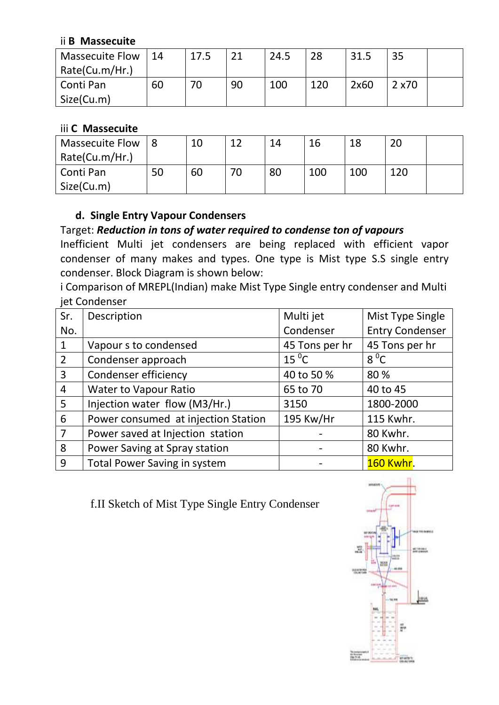#### ii **B Massecuite**

| <b>Massecuite Flow</b> | $\vert$ 14 | 17.5 | 21 | 24.5 | 28  | 31.5 | 35     |  |
|------------------------|------------|------|----|------|-----|------|--------|--|
| Rate(Cu.m/Hr.)         |            |      |    |      |     |      |        |  |
| Conti Pan              | 60         | 70   | 90 | 100  | 120 | 2x60 | 2 x 70 |  |
| Size(Cu.m)             |            |      |    |      |     |      |        |  |

#### iii **C Massecuite**

| <b>Massecuite Flow</b> |    | 10 | 1 ገ | 14 | 16  | 18  | 20  |  |
|------------------------|----|----|-----|----|-----|-----|-----|--|
| Rate(Cu.m/Hr.)         |    |    |     |    |     |     |     |  |
| Conti Pan              | 50 | 60 | 70  | 80 | 100 | 100 | 120 |  |
| Size(Cu.m)             |    |    |     |    |     |     |     |  |

#### **d. Single Entry Vapour Condensers**

## Target: *Reduction in tons of water required to condense ton of vapours*

Inefficient Multi jet condensers are being replaced with efficient vapor condenser of many makes and types. One type is Mist type S.S single entry condenser. Block Diagram is shown below:

i Comparison of MREPL(Indian) make Mist Type Single entry condenser and Multi iet Condenser

| Sr.             | Description                         | Multi jet      | Mist Type Single       |
|-----------------|-------------------------------------|----------------|------------------------|
| No.             |                                     | Condenser      | <b>Entry Condenser</b> |
| $\mathbf{1}$    | Vapour s to condensed               | 45 Tons per hr | 45 Tons per hr         |
| $\overline{2}$  | Condenser approach                  | $15\,^0C$      | $8^{\circ}$ C          |
| $\overline{3}$  | Condenser efficiency                | 40 to 50 %     | 80 %                   |
| $\overline{4}$  | <b>Water to Vapour Ratio</b>        | 65 to 70       | 40 to 45               |
| $5\overline{)}$ | Injection water flow (M3/Hr.)       | 3150           | 1800-2000              |
| 6               | Power consumed at injection Station | 195 Kw/Hr      | 115 Kwhr.              |
| $\overline{7}$  | Power saved at Injection station    |                | 80 Kwhr.               |
| 8               | Power Saving at Spray station       |                | 80 Kwhr.               |
| 9               | <b>Total Power Saving in system</b> |                | <b>160 Kwhr.</b>       |

f.II Sketch of Mist Type Single Entry Condenser

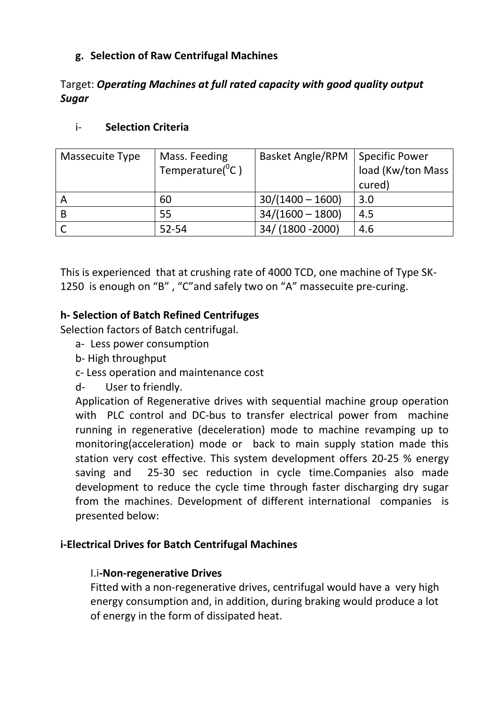## **g. Selection of Raw Centrifugal Machines**

## Target: *Operating Machines at full rated capacity with good quality output Sugar*

#### i- **Selection Criteria**

| Massecuite Type | Mass. Feeding            | <b>Basket Angle/RPM</b> | <b>Specific Power</b> |
|-----------------|--------------------------|-------------------------|-----------------------|
|                 | Temperature( ${}^{0}C$ ) |                         | load (Kw/ton Mass     |
|                 |                          |                         | cured)                |
| A               | 60                       | $30/(1400 - 1600)$      | 3.0                   |
| B               | 55                       | $34/(1600 - 1800)$      | 4.5                   |
|                 | $52 - 54$                | 34/(1800-2000)          | 4.6                   |

This is experienced that at crushing rate of 4000 TCD, one machine of Type SK-1250 is enough on "B" , "C"and safely two on "A" massecuite pre-curing.

## **h- Selection of Batch Refined Centrifuges**

Selection factors of Batch centrifugal.

- a- Less power consumption
- b- High throughput
- c- Less operation and maintenance cost
- d- User to friendly.

Application of Regenerative drives with sequential machine group operation with PLC control and DC-bus to transfer electrical power from machine running in regenerative (deceleration) mode to machine revamping up to monitoring(acceleration) mode or back to main supply station made this station very cost effective. This system development offers 20-25 % energy saving and 25-30 sec reduction in cycle time.Companies also made development to reduce the cycle time through faster discharging dry sugar from the machines. Development of different international companies is presented below:

#### **i-Electrical Drives for Batch Centrifugal Machines**

#### I.i**-Non-regenerative Drives**

Fitted with a non-regenerative drives, centrifugal would have a very high energy consumption and, in addition, during braking would produce a lot of energy in the form of dissipated heat.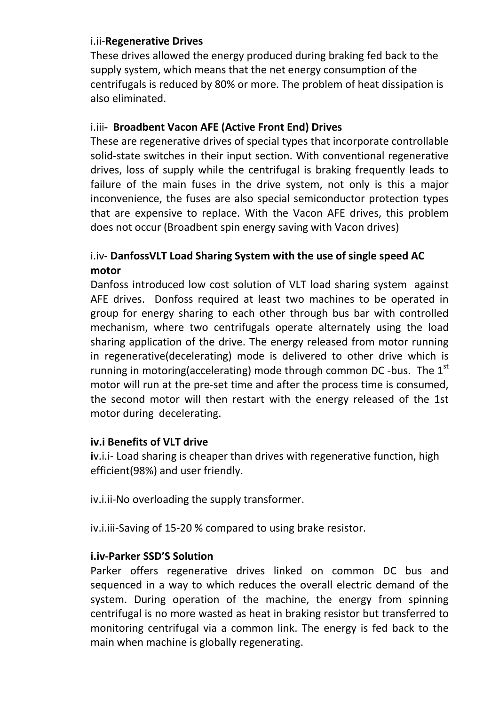#### i.ii-**Regenerative Drives**

These drives allowed the energy produced during braking fed back to the supply system, which means that the net energy consumption of the centrifugals is reduced by 80% or more. The problem of heat dissipation is also eliminated.

#### i.iii**- Broadbent Vacon AFE (Active Front End) Drives**

These are regenerative drives of special types that incorporate controllable solid-state switches in their input section. With conventional regenerative drives, loss of supply while the centrifugal is braking frequently leads to failure of the main fuses in the drive system, not only is this a major inconvenience, the fuses are also special semiconductor protection types that are expensive to replace. With the Vacon AFE drives, this problem does not occur (Broadbent spin energy saving with Vacon drives)

## i.iv- **DanfossVLT Load Sharing System with the use of single speed AC motor**

Danfoss introduced low cost solution of VLT load sharing system against AFE drives. Donfoss required at least two machines to be operated in group for energy sharing to each other through bus bar with controlled mechanism, where two centrifugals operate alternately using the load sharing application of the drive. The energy released from motor running in regenerative(decelerating) mode is delivered to other drive which is running in motoring(accelerating) mode through common DC -bus. The  $1<sup>st</sup>$ motor will run at the pre-set time and after the process time is consumed, the second motor will then restart with the energy released of the 1st motor during decelerating.

#### **iv.i Benefits of VLT drive**

**i**v.i.i- Load sharing is cheaper than drives with regenerative function, high efficient(98%) and user friendly.

iv.i.ii-No overloading the supply transformer.

iv.i.iii-Saving of 15-20 % compared to using brake resistor.

## **i.iv-Parker SSD'S Solution**

Parker offers regenerative drives linked on common DC bus and sequenced in a way to which reduces the overall electric demand of the system. During operation of the machine, the energy from spinning centrifugal is no more wasted as heat in braking resistor but transferred to monitoring centrifugal via a common link. The energy is fed back to the main when machine is globally regenerating.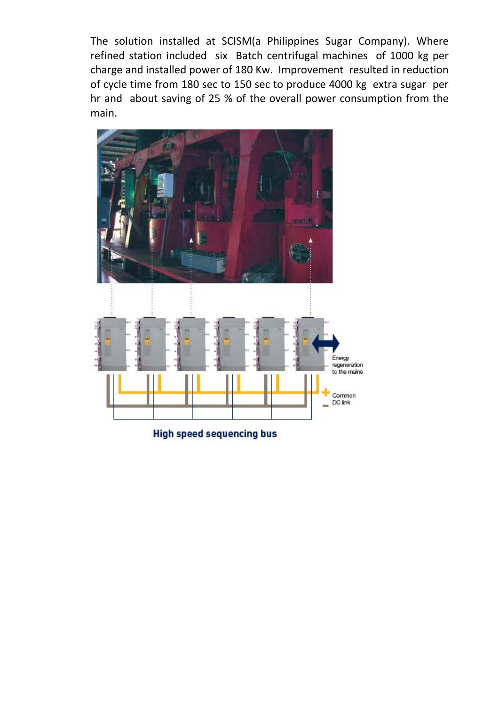The solution installed at SCISM(a Philippines Sugar Company). Where refined station included six Batch centrifugal machines of 1000 kg per charge and installed power of 180 Kw. Improvement resulted in reduction of cycle time from 180 sec to 150 sec to produce 4000 kg extra sugar per hr and about saving of 25 % of the overall power consumption from the main.



**High speed sequencing bus**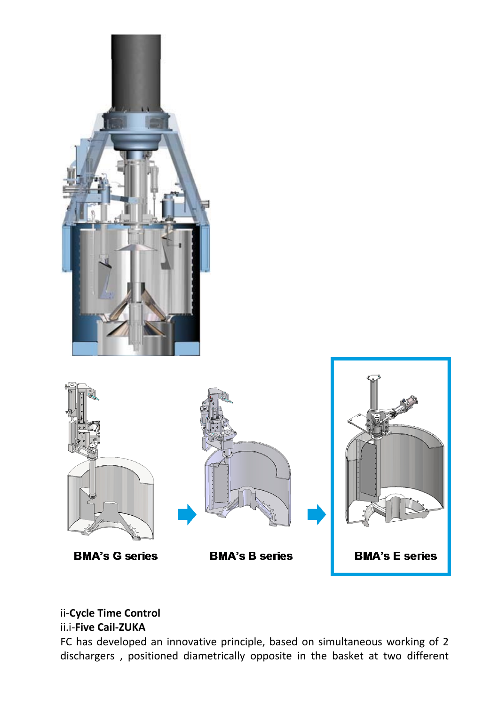

## ii-**Cycle Time Control**

## ii.i-**Five Cail-ZUKA**

FC has developed an innovative principle, based on simultaneous working of 2 dischargers , positioned diametrically opposite in the basket at two different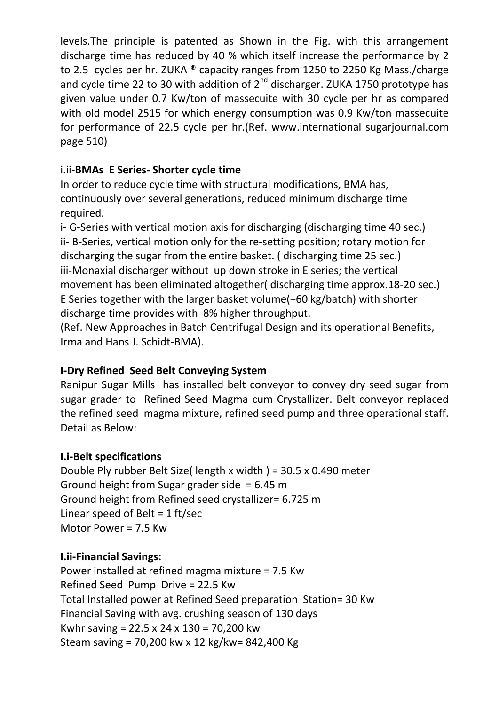levels.The principle is patented as Shown in the Fig. with this arrangement discharge time has reduced by 40 % which itself increase the performance by 2 to 2.5 cycles per hr. ZUKA ® capacity ranges from 1250 to 2250 Kg Mass./charge and cycle time 22 to 30 with addition of  $2^{nd}$  discharger. ZUKA 1750 prototype has given value under 0.7 Kw/ton of massecuite with 30 cycle per hr as compared with old model 2515 for which energy consumption was 0.9 Kw/ton massecuite for performance of 22.5 cycle per hr.(Ref. www.international sugarjournal.com page 510)

## i.ii-**BMAs E Series- Shorter cycle time**

In order to reduce cycle time with structural modifications, BMA has, continuously over several generations, reduced minimum discharge time required.

i- G-Series with vertical motion axis for discharging (discharging time 40 sec.) ii- B-Series, vertical motion only for the re-setting position; rotary motion for discharging the sugar from the entire basket. ( discharging time 25 sec.) iii-Monaxial discharger without up down stroke in E series; the vertical movement has been eliminated altogether( discharging time approx.18-20 sec.) E Series together with the larger basket volume(+60 kg/batch) with shorter discharge time provides with 8% higher throughput.

(Ref. New Approaches in Batch Centrifugal Design and its operational Benefits, Irma and Hans J. Schidt-BMA).

## **I-Dry Refined Seed Belt Conveying System**

Ranipur Sugar Mills has installed belt conveyor to convey dry seed sugar from sugar grader to Refined Seed Magma cum Crystallizer. Belt conveyor replaced the refined seed magma mixture, refined seed pump and three operational staff. Detail as Below:

## **I.i-Belt specifications**

Double Ply rubber Belt Size( length x width ) = 30.5 x 0.490 meter Ground height from Sugar grader side  $= 6.45$  m Ground height from Refined seed crystallizer= 6.725 m Linear speed of Belt =  $1$  ft/sec Motor Power = 7.5 Kw

## **I.ii-Financial Savings:**

Power installed at refined magma mixture = 7.5 Kw Refined Seed Pump Drive = 22.5 Kw Total Installed power at Refined Seed preparation Station= 30 Kw Financial Saving with avg. crushing season of 130 days Kwhr saving = 22.5 x 24 x 130 = 70,200 kw Steam saving = 70,200 kw x 12 kg/kw= 842,400 Kg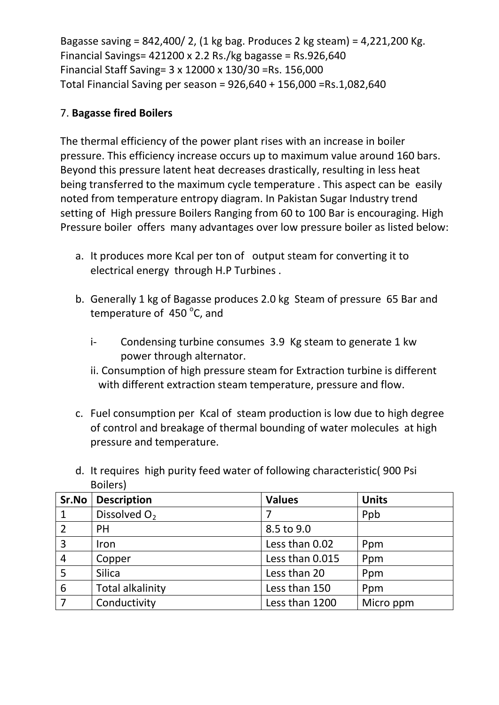Bagasse saving = 842,400/ 2, (1 kg bag. Produces 2 kg steam) = 4,221,200 Kg. Financial Savings= 421200 x 2.2 Rs./kg bagasse = Rs.926,640 Financial Staff Saving= 3 x 12000 x 130/30 =Rs. 156,000 Total Financial Saving per season = 926,640 + 156,000 =Rs.1,082,640

#### 7. **Bagasse fired Boilers**

The thermal efficiency of the power plant rises with an increase in boiler pressure. This efficiency increase occurs up to maximum value around 160 bars. Beyond this pressure latent heat decreases drastically, resulting in less heat being transferred to the maximum cycle temperature . This aspect can be easily noted from temperature entropy diagram. In Pakistan Sugar Industry trend setting of High pressure Boilers Ranging from 60 to 100 Bar is encouraging. High Pressure boiler offers many advantages over low pressure boiler as listed below:

- a. It produces more Kcal per ton of output steam for converting it to electrical energy through H.P Turbines .
- b. Generally 1 kg of Bagasse produces 2.0 kg Steam of pressure 65 Bar and temperature of 450 °C, and
	- i- Condensing turbine consumes 3.9 Kg steam to generate 1 kw power through alternator.
	- ii. Consumption of high pressure steam for Extraction turbine is different with different extraction steam temperature, pressure and flow.
- c. Fuel consumption per Kcal of steam production is low due to high degree of control and breakage of thermal bounding of water molecules at high pressure and temperature.

|                | <b>DUIICI</b> <sub>2</sub> |                 |              |
|----------------|----------------------------|-----------------|--------------|
| Sr.No          | <b>Description</b>         | <b>Values</b>   | <b>Units</b> |
| $\mathbf{1}$   | Dissolved O <sub>2</sub>   |                 | Ppb          |
| $\overline{2}$ | PH                         | 8.5 to 9.0      |              |
| $\overline{3}$ | Iron                       | Less than 0.02  | Ppm          |
| $\overline{4}$ | Copper                     | Less than 0.015 | Ppm          |
| 5              | <b>Silica</b>              | Less than 20    | Ppm          |
| 6              | <b>Total alkalinity</b>    | Less than 150   | Ppm          |
| $\overline{7}$ | Conductivity               | Less than 1200  | Micro ppm    |

d. It requires high purity feed water of following characteristic( 900 Psi Boilers)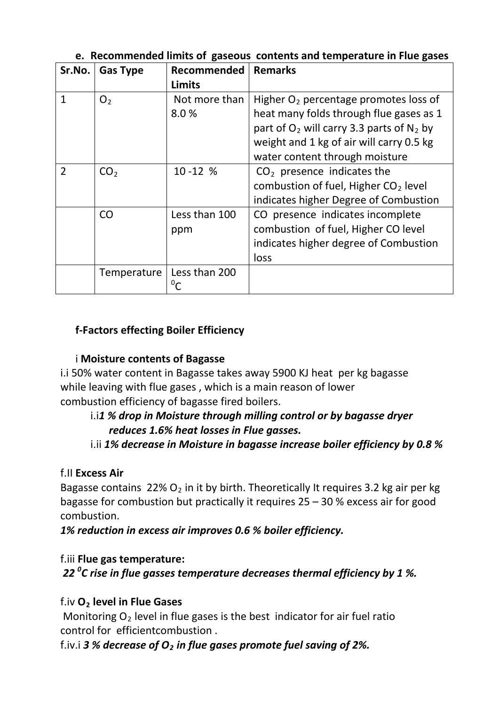| Sr.No.         | <b>Gas Type</b> | <b>Recommended</b>    | <b>Remarks</b>                                                                                                                       |
|----------------|-----------------|-----------------------|--------------------------------------------------------------------------------------------------------------------------------------|
|                |                 | Limits                |                                                                                                                                      |
| $\mathbf{1}$   | O <sub>2</sub>  | Not more than<br>8.0% | Higher $O2$ percentage promotes loss of<br>heat many folds through flue gases as 1<br>part of $O_2$ will carry 3.3 parts of $N_2$ by |
|                |                 |                       | weight and 1 kg of air will carry 0.5 kg<br>water content through moisture                                                           |
| $\overline{2}$ | CO <sub>2</sub> | $10 - 12 %$           | $CO2$ presence indicates the                                                                                                         |
|                |                 |                       | combustion of fuel, Higher $CO2$ level                                                                                               |
|                |                 |                       | indicates higher Degree of Combustion                                                                                                |
|                | CO              | Less than 100         | CO presence indicates incomplete                                                                                                     |
|                |                 | ppm                   | combustion of fuel, Higher CO level                                                                                                  |
|                |                 |                       | indicates higher degree of Combustion                                                                                                |
|                |                 |                       | loss                                                                                                                                 |
|                | Temperature     | Less than 200         |                                                                                                                                      |

## **e. Recommended limits of gaseous contents and temperature in Flue gases**

## **f-Factors effecting Boiler Efficiency**

## i **Moisture contents of Bagasse**

i.i 50% water content in Bagasse takes away 5900 KJ heat per kg bagasse while leaving with flue gases , which is a main reason of lower combustion efficiency of bagasse fired boilers.

## i.i*1 % drop in Moisture through milling control or by bagasse dryer reduces 1.6% heat losses in Flue gasses.*

## i.ii *1% decrease in Moisture in bagasse increase boiler efficiency by 0.8 %*

## f.II **Excess Air**

Bagasse contains  $22\%$  O<sub>2</sub> in it by birth. Theoretically It requires 3.2 kg air per kg bagasse for combustion but practically it requires 25 – 30 % excess air for good combustion.

*1% reduction in excess air improves 0.6 % boiler efficiency.*

## f.iii **Flue gas temperature:**

*22 0 C rise in flue gasses temperature decreases thermal efficiency by 1 %.*

## f.iv **O2 level in Flue Gases**

Monitoring  $O<sub>2</sub>$  level in flue gases is the best indicator for air fuel ratio control for efficientcombustion .

f.iv.i 3 % decrease of  $O<sub>2</sub>$  *in flue gases promote fuel saving of 2%.*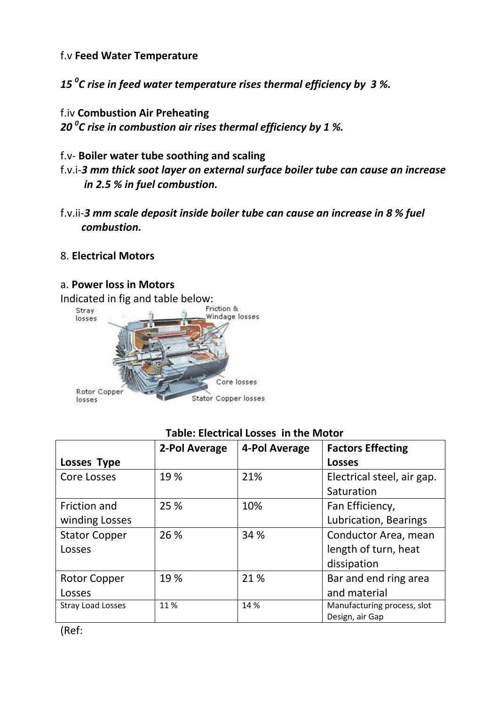f.v **Feed Water Temperature**

*15 0 C rise in feed water temperature rises thermal efficiency by 3 %.*

f.iv **Combustion Air Preheating** *20 0 C rise in combustion air rises thermal efficiency by 1 %.*

- f.v- **Boiler water tube soothing and scaling** f.v.i-*3 mm thick soot layer on external surface boiler tube can cause an increase in 2.5 % in fuel combustion.*
- f.v.ii-*3 mm scale deposit inside boiler tube can cause an increase in 8 % fuel combustion.*

#### 8. **Electrical Motors**

#### a. **Power loss in Motors**



**Losses Type 2-Pol Average 4-Pol Average Factors Effecting Losses** Core Losses 29 % 21% Electrical steel, air gap. **Saturation** Friction and winding Losses 25 % 10% Fan Efficiency, Lubrication, Bearings Stator Copper Losses 26 % 34 % Conductor Area, mean length of turn, heat dissipation Rotor Copper Losses 19 % 21 % area and end ring area and material Stray Load Losses 11 % 14 % Manufacturing process, slot Design, air Gap

#### **Table: Electrical Losses in the Motor**

(Ref: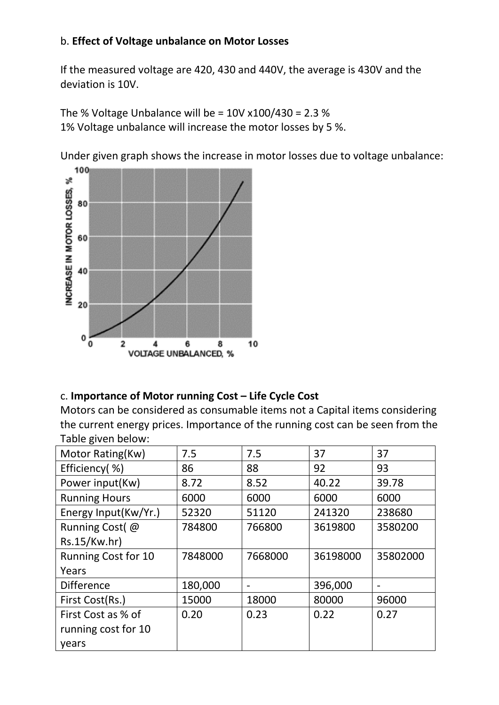#### b. **Effect of Voltage unbalance on Motor Losses**

If the measured voltage are 420, 430 and 440V, the average is 430V and the deviation is 10V.

The % Voltage Unbalance will be =  $10V x100/430 = 2.3 %$ 1% Voltage unbalance will increase the motor losses by 5 %.

Under given graph shows the increase in motor losses due to voltage unbalance:



## c. **Importance of Motor running Cost – Life Cycle Cost**

Motors can be considered as consumable items not a Capital items considering the current energy prices. Importance of the running cost can be seen from the Table given below:

| Motor Rating(Kw)           | 7.5     | 7.5     | 37       | 37       |
|----------------------------|---------|---------|----------|----------|
| Efficiency(%)              | 86      | 88      | 92       | 93       |
| Power input(Kw)            | 8.72    | 8.52    | 40.22    | 39.78    |
| <b>Running Hours</b>       | 6000    | 6000    | 6000     | 6000     |
| Energy Input(Kw/Yr.)       | 52320   | 51120   | 241320   | 238680   |
| Running Cost(@             | 784800  | 766800  | 3619800  | 3580200  |
| Rs.15/Kw.hr)               |         |         |          |          |
| <b>Running Cost for 10</b> | 7848000 | 7668000 | 36198000 | 35802000 |
| Years                      |         |         |          |          |
| <b>Difference</b>          | 180,000 |         | 396,000  |          |
| First Cost(Rs.)            | 15000   | 18000   | 80000    | 96000    |
| First Cost as % of         | 0.20    | 0.23    | 0.22     | 0.27     |
| running cost for 10        |         |         |          |          |
| years                      |         |         |          |          |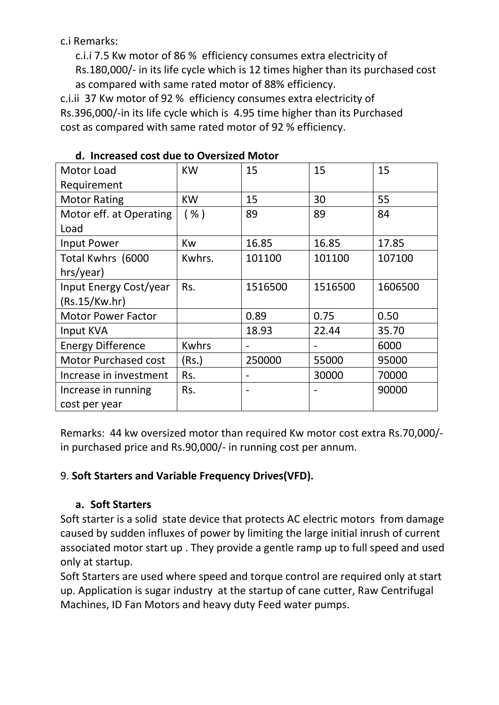c.i Remarks:

c.i.i 7.5 Kw motor of 86 % efficiency consumes extra electricity of Rs.180,000/- in its life cycle which is 12 times higher than its purchased cost as compared with same rated motor of 88% efficiency.

c.i.ii 37 Kw motor of 92 % efficiency consumes extra electricity of Rs.396,000/-in its life cycle which is 4.95 time higher than its Purchased cost as compared with same rated motor of 92 % efficiency.

| Motor Load                  | <b>KW</b>    | 15      | 15      | 15      |
|-----------------------------|--------------|---------|---------|---------|
| Requirement                 |              |         |         |         |
| <b>Motor Rating</b>         | <b>KW</b>    | 15      | 30      | 55      |
| Motor eff. at Operating     | ( %)         | 89      | 89      | 84      |
| Load                        |              |         |         |         |
| Input Power                 | <b>Kw</b>    | 16.85   | 16.85   | 17.85   |
| Total Kwhrs (6000           | Kwhrs.       | 101100  | 101100  | 107100  |
| hrs/year)                   |              |         |         |         |
| Input Energy Cost/year      | Rs.          | 1516500 | 1516500 | 1606500 |
| (Rs.15/Kw.hr)               |              |         |         |         |
| <b>Motor Power Factor</b>   |              | 0.89    | 0.75    | 0.50    |
| Input KVA                   |              | 18.93   | 22.44   | 35.70   |
| <b>Energy Difference</b>    | <b>Kwhrs</b> |         |         | 6000    |
| <b>Motor Purchased cost</b> | (Rs.)        | 250000  | 55000   | 95000   |
| Increase in investment      | Rs.          | -       | 30000   | 70000   |
| Increase in running         | Rs.          |         |         | 90000   |
| cost per year               |              |         |         |         |

#### **d. Increased cost due to Oversized Motor**

Remarks: 44 kw oversized motor than required Kw motor cost extra Rs.70,000/ in purchased price and Rs.90,000/- in running cost per annum.

## 9. **Soft Starters and Variable Frequency Drives(VFD).**

## **a. Soft Starters**

Soft starter is a solid state device that protects AC electric motors from damage caused by sudden influxes of power by limiting the large initial inrush of current associated motor start up . They provide a gentle ramp up to full speed and used only at startup.

Soft Starters are used where speed and torque control are required only at start up. Application is sugar industry at the startup of cane cutter, Raw Centrifugal Machines, ID Fan Motors and heavy duty Feed water pumps.